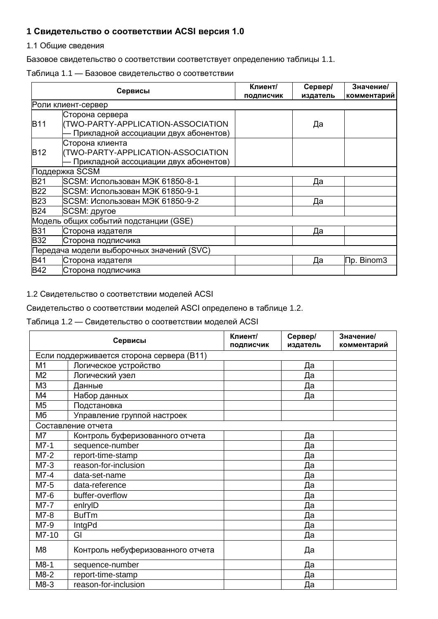## 1 Свидетельство о соответствии ACSI версия 1.0

1.1 Общие сведения

Базовое свидетельство о соответствии соответствует определению таблицы 1.1.

### Таблица 1.1 - Базовое свидетельство о соответствии

|            | Сервисы                                   | Клиент/<br>подписчик | Сервер/<br>издатель | Значение/<br>комментарий |
|------------|-------------------------------------------|----------------------|---------------------|--------------------------|
|            | Роли клиент-сервер                        |                      |                     |                          |
|            | Сторона сервера                           |                      |                     |                          |
| <b>B11</b> | (TWO-PARTY-APPLICATION-ASSOCIATION        |                      | Да                  |                          |
|            | Прикладной ассоциации двух абонентов)     |                      |                     |                          |
|            | Сторона клиента                           |                      |                     |                          |
| B12        | (TWO-PARTY-APPLICATION-ASSOCIATION        |                      |                     |                          |
|            | Прикладной ассоциации двух абонентов)     |                      |                     |                          |
|            | Поддержка SCSM                            |                      |                     |                          |
| <b>B21</b> | SCSM: Использован МЭК 61850-8-1           |                      | Да                  |                          |
| <b>B22</b> | SCSM: Использован МЭК 61850-9-1           |                      |                     |                          |
| <b>B23</b> | SCSM: Использован МЭК 61850-9-2           |                      | Да                  |                          |
| <b>B24</b> | SCSM: другое                              |                      |                     |                          |
|            | Модель общих событий подстанции (GSE)     |                      |                     |                          |
| <b>B31</b> | Сторона издателя                          |                      | Да                  |                          |
| B32        | Сторона подписчика                        |                      |                     |                          |
|            | Передача модели выборочных значений (SVC) |                      |                     |                          |
| B41        | Сторона издателя                          |                      | Да                  | <b>∏p. Binom3</b>        |
| <b>B42</b> | Сторона подписчика                        |                      |                     |                          |

### 1.2 Свидетельство о соответствии моделей ACSI

### Свидетельство о соответствии моделей ASCI определено в таблице 1.2.

### Таблица 1.2 — Свидетельство о соответствии моделей ACSI

|                | Сервисы                                   |  | Сервер/<br>издатель | Значение/<br>комментарий |
|----------------|-------------------------------------------|--|---------------------|--------------------------|
|                | Если поддерживается сторона сервера (В11) |  |                     |                          |
| M <sub>1</sub> | Логическое устройство                     |  | Да                  |                          |
| M <sub>2</sub> | Логический узел                           |  | Да                  |                          |
| M <sub>3</sub> | Данные                                    |  | Да                  |                          |
| M4             | Набор данных                              |  | Да                  |                          |
| M <sub>5</sub> | Подстановка                               |  |                     |                          |
| Мб             | Управление группой настроек               |  |                     |                          |
|                | Составление отчета                        |  |                     |                          |
| M7             | Контроль буферизованного отчета           |  | Да                  |                          |
| $M7-1$         | sequence-number                           |  | Да                  |                          |
| $M7-2$         | report-time-stamp                         |  | Да                  |                          |
| $M7-3$         | reason-for-inclusion                      |  | Да                  |                          |
| $M7-4$         | data-set-name                             |  | Да                  |                          |
| M7-5           | data-reference                            |  | Да                  |                          |
| M7-6           | buffer-overflow                           |  | Да                  |                          |
| M7-7           | enlryID                                   |  | Да                  |                          |
| M7-8           | <b>BufTm</b>                              |  | Да                  |                          |
| M7-9           | IntgPd                                    |  | Да                  |                          |
| M7-10          | GI                                        |  | Да                  |                          |
| M <sub>8</sub> | Контроль небуферизованного отчета         |  | Да                  |                          |
| $M8-1$         | sequence-number                           |  | Да                  |                          |
| $M8-2$         | report-time-stamp                         |  | Да                  |                          |
| M8-3           | reason-for-inclusion                      |  | Да                  |                          |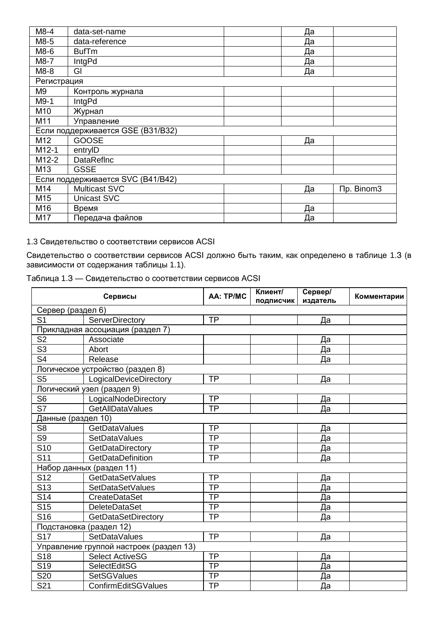| $M8-4$                            | data-set-name                     | Да |            |  |
|-----------------------------------|-----------------------------------|----|------------|--|
| M8-5                              | data-reference                    | Да |            |  |
| M8-6                              | <b>BufTm</b>                      | Да |            |  |
| M8-7                              | IntgPd                            | Да |            |  |
| M8-8                              | GI                                | Да |            |  |
| Регистрация                       |                                   |    |            |  |
| M9<br>Контроль журнала            |                                   |    |            |  |
| M9-1                              | IntgPd                            |    |            |  |
| M10                               | Журнал                            |    |            |  |
| M11                               | Управление                        |    |            |  |
| Если поддерживается GSE (B31/B32) |                                   |    |            |  |
| M12                               | <b>GOOSE</b>                      | Да |            |  |
| M <sub>12</sub> -1                | entryID                           |    |            |  |
| M12-2                             | <b>DataRefInc</b>                 |    |            |  |
| M13                               | <b>GSSE</b>                       |    |            |  |
|                                   | Если поддерживается SVC (B41/B42) |    |            |  |
| M14                               | <b>Multicast SVC</b>              | Да | Пр. Binom3 |  |
| M <sub>15</sub>                   | Unicast SVC                       |    |            |  |
| M16                               | Время                             | Да |            |  |
| M17                               | Передача файлов                   | Да |            |  |

# 1.3 Свидетельство о соответствии сервисов ACSI

Свидетельство о соответствии сервисов ACSI должно быть таким, как определено в таблице 1.3 (в зависимости от содержания таблицы 1.1).

| Таблица 1.3 — Свидетельство о соответствии сервисов ACSI |  |
|----------------------------------------------------------|--|
|----------------------------------------------------------|--|

|                                          | Сервисы                                 | AA: TP/MC | Клиент/<br>ПОДПИСЧИК | Сервер/<br>издатель | Комментарии |
|------------------------------------------|-----------------------------------------|-----------|----------------------|---------------------|-------------|
| Сервер (раздел 6)                        |                                         |           |                      |                     |             |
| S <sub>1</sub>                           | ServerDirectory                         | <b>TP</b> |                      | Да                  |             |
|                                          | Прикладная ассоциация (раздел 7)        |           |                      |                     |             |
| S <sub>2</sub>                           | Associate                               |           |                      | <u>Да</u>           |             |
| S <sub>3</sub>                           | Abort                                   |           |                      | Да                  |             |
| S <sub>4</sub>                           | Release                                 |           |                      | Да                  |             |
|                                          | Логическое устройство (раздел 8)        |           |                      |                     |             |
| S <sub>5</sub><br>LogicalDeviceDirectory |                                         | <b>TP</b> |                      | Да                  |             |
|                                          | Логический узел (раздел 9)              |           |                      |                     |             |
| S <sub>6</sub>                           | LogicalNodeDirectory                    | <b>TP</b> |                      | Да                  |             |
| S7                                       | <b>GetAllDataValues</b>                 | <b>TP</b> |                      | Да                  |             |
| Данные (раздел 10)                       |                                         |           |                      |                     |             |
| S <sub>8</sub>                           | GetDataValues                           | <b>TP</b> |                      | Да                  |             |
| S <sub>9</sub>                           | <b>SetDataValues</b>                    | <b>TP</b> |                      | Да                  |             |
| S <sub>10</sub>                          | GetDataDirectory                        | <b>TP</b> |                      | Да                  |             |
| S <sub>11</sub>                          | <b>GetDataDefinition</b>                | <b>TP</b> |                      | Да                  |             |
|                                          | Набор данных (раздел 11)                |           |                      |                     |             |
| S <sub>12</sub>                          | GetDataSetValues                        | <b>TP</b> |                      | Да                  |             |
| S <sub>13</sub>                          | SetDataSetValues                        | <b>TP</b> |                      | Да                  |             |
| S <sub>14</sub>                          | CreateDataSet                           | <b>TP</b> |                      | Да                  |             |
| S <sub>15</sub>                          | <b>DeleteDataSet</b>                    | <b>TP</b> |                      | Да                  |             |
| S <sub>16</sub>                          | GetDataSetDirectory                     | <b>TP</b> |                      | Да                  |             |
|                                          | Подстановка (раздел 12)                 |           |                      |                     |             |
| <b>S17</b>                               | SetDataValues                           | <b>TP</b> |                      | Да                  |             |
|                                          | Управление группой настроек (раздел 13) |           |                      |                     |             |
| <b>S18</b>                               | <b>Select ActiveSG</b>                  | <b>TP</b> |                      | Да                  |             |
| S <sub>19</sub>                          | <b>SelectEditSG</b>                     | <b>TP</b> |                      | Да                  |             |
| S <sub>20</sub>                          | <b>SetSGValues</b>                      | <b>TP</b> |                      | Да                  |             |
| S <sub>21</sub>                          | ConfirmEditSGValues                     | <b>TP</b> |                      | Да                  |             |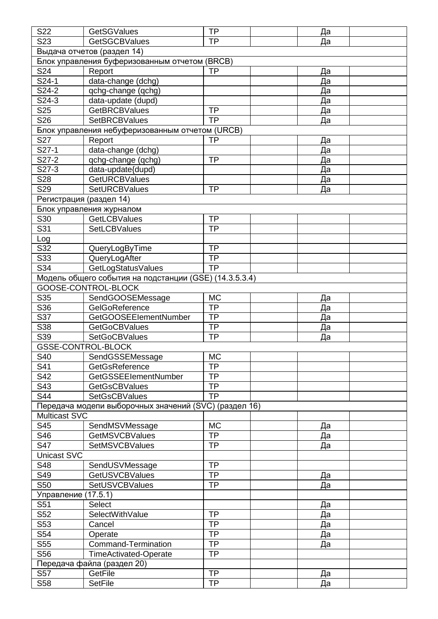| S22                     | <b>GetSGValues</b>                                     | <b>TP</b> | Да        |  |
|-------------------------|--------------------------------------------------------|-----------|-----------|--|
| S <sub>23</sub>         | <b>GetSGCBValues</b>                                   | <b>TP</b> | Да        |  |
|                         | Выдача отчетов (раздел 14)                             |           |           |  |
|                         | Блок управления буферизованным отчетом (BRCB)          |           |           |  |
| S24                     | Report                                                 | <b>TP</b> | <u>Да</u> |  |
| S24-1                   | data-change (dchg)                                     |           | Да        |  |
| S24-2                   | qchg-change (qchg)                                     |           | Да        |  |
| S24-3                   | data-update (dupd)                                     |           | Да        |  |
| S25                     | <b>GetBRCBValues</b>                                   | <b>TP</b> | Да        |  |
| S <sub>26</sub>         | <b>SetBRCBValues</b>                                   | <b>TP</b> | Да        |  |
|                         | Блок управления небуферизованным отчетом (URCB)        |           |           |  |
| S27                     | Report                                                 | <b>TP</b> | Да        |  |
| S27-1                   | data-change (dchg)                                     |           | Да        |  |
| S27-2                   | qchg-change (qchg)                                     | <b>TP</b> | Да        |  |
| S27-3                   | data-update{dupd)                                      |           | Да        |  |
| S28                     | <b>GetURCBValues</b>                                   |           |           |  |
| S <sub>29</sub>         | <b>SetURCBValues</b>                                   | <b>TP</b> | Да        |  |
|                         |                                                        |           | Да        |  |
|                         | Регистрация (раздел 14)                                |           |           |  |
|                         | Блок управления журналом                               |           |           |  |
| S30                     | <b>GetLCBValues</b>                                    | <b>TP</b> |           |  |
| $\overline{\text{S}31}$ | <b>SetLCBValues</b>                                    | <b>TP</b> |           |  |
| Log                     |                                                        |           |           |  |
| S32                     | QueryLogByTime                                         | <b>TP</b> |           |  |
| S33                     | QueryLogAfter                                          | <b>TP</b> |           |  |
| S34                     | GetLogStatusValues                                     | <b>TP</b> |           |  |
|                         | Модель общего события на подстанции (GSE) (14.3.5.3.4) |           |           |  |
|                         | GOOSE-CONTROL-BLOCK                                    |           |           |  |
| S35                     | SendGOOSEMessage                                       | <b>MC</b> | Да        |  |
| S36                     | GelGoReference                                         | TP        | Да        |  |
| $\overline{\text{S}37}$ | <b>GetGOOSEEIementNumber</b>                           | <b>TP</b> | Да        |  |
| S38                     | <b>GetGoCBValues</b>                                   | <b>TP</b> | Да        |  |
| S39                     | <b>SetGoCBValues</b>                                   | <b>TP</b> | Да        |  |
|                         | <b>GSSE-CONTROL-BLOCK</b>                              |           |           |  |
| S40                     | SendGSSEMessage                                        | <b>MC</b> |           |  |
| S41                     | GetGsReference                                         | <b>TP</b> |           |  |
| S42                     | <b>GetGSSEEIementNumber</b>                            | <b>TP</b> |           |  |
| S43                     | <b>GetGsCBValues</b>                                   | <b>TP</b> |           |  |
| S44                     | <b>SetGsCBValues</b>                                   | <b>TP</b> |           |  |
|                         | Передача модепи выборочных значений (SVC) (раздел 16)  |           |           |  |
| <b>Multicast SVC</b>    |                                                        |           |           |  |
| S45                     | SendMSVMessage                                         | <b>MC</b> | Да        |  |
| S46                     | <b>GetMSVCBValues</b>                                  | <b>TP</b> | Да        |  |
| S47                     | <b>SetMSVCBValues</b>                                  | <b>TP</b> | Да        |  |
| <b>Unicast SVC</b>      |                                                        |           |           |  |
| S48                     | SendUSVMessage                                         | <b>TP</b> |           |  |
| S49                     | <b>GetUSVCBValues</b>                                  | <b>TP</b> | Да        |  |
| S50                     | <b>SetUSVCBValues</b>                                  | <b>TP</b> | Да        |  |
|                         |                                                        |           |           |  |
| Управление (17.5.1)     |                                                        |           |           |  |
| S51                     | <b>Select</b>                                          |           | Да        |  |
| S52                     | SelectWithValue                                        | <b>TP</b> | Да        |  |
| S53                     | Cancel                                                 | <b>TP</b> | Да        |  |
| S54                     | Operate                                                | <b>TP</b> | <u>Да</u> |  |
| S55                     | <b>Command-Termination</b>                             | <b>TP</b> | Да        |  |
| S56                     | <b>TimeActivated-Operate</b>                           | <b>TP</b> |           |  |
|                         | Передача файла (раздел 20)                             |           |           |  |
| S <sub>57</sub>         | GetFile                                                | <b>TP</b> | Да        |  |
| S58                     | <b>SetFile</b>                                         | <b>TP</b> | Да        |  |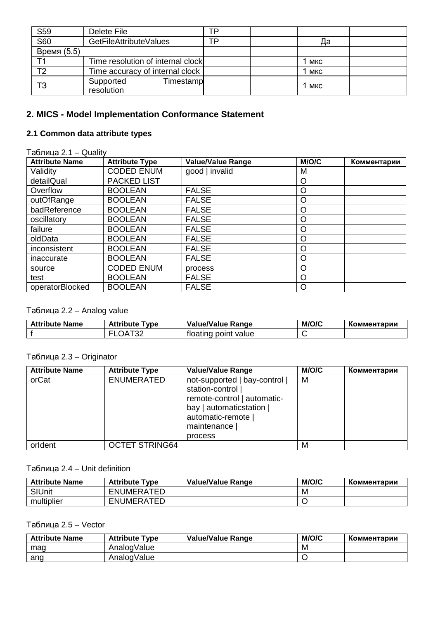| S59         | Delete File                          | тp |                  |  |
|-------------|--------------------------------------|----|------------------|--|
| <b>S60</b>  | GetFileAttributeValues               | тp | Да               |  |
| Время (5.5) |                                      |    |                  |  |
|             | Time resolution of internal clock    |    | <sup>1</sup> MKC |  |
| T2          | Time accuracy of internal clock      |    | 1 мкс            |  |
| T3          | Supported<br>Timestamp<br>resolution |    | 1 мкс            |  |

## **2. MICS - Model Implementation Conformance Statement**

## **2.1 Common data attribute types**

## Таблица 2.1 – Quality

| <b>Attribute Name</b> | <b>Attribute Type</b> | Value/Value Range | M/O/C   | Комментарии |
|-----------------------|-----------------------|-------------------|---------|-------------|
| Validity              | <b>CODED ENUM</b>     | good   invalid    | M       |             |
| detailQual            | <b>PACKED LIST</b>    |                   | O       |             |
| Overflow              | <b>BOOLEAN</b>        | <b>FALSE</b>      | $\circ$ |             |
| outOfRange            | <b>BOOLEAN</b>        | <b>FALSE</b>      | $\circ$ |             |
| badReference          | <b>BOOLEAN</b>        | <b>FALSE</b>      | O       |             |
| oscillatory           | <b>BOOLEAN</b>        | <b>FALSE</b>      | $\circ$ |             |
| failure               | <b>BOOLEAN</b>        | <b>FALSE</b>      | $\circ$ |             |
| oldData               | <b>BOOLEAN</b>        | <b>FALSE</b>      | O       |             |
| inconsistent          | <b>BOOLEAN</b>        | <b>FALSE</b>      | $\circ$ |             |
| inaccurate            | <b>BOOLEAN</b>        | <b>FALSE</b>      | $\circ$ |             |
| source                | <b>CODED ENUM</b>     | process           | $\circ$ |             |
| test                  | <b>BOOLEAN</b>        | <b>FALSE</b>      | $\circ$ |             |
| operatorBlocked       | <b>BOOLEAN</b>        | <b>FALSE</b>      | O       |             |

## Таблица 2.2 – Analog value

| <b>Attribute Name</b> | <b>Attribute</b><br>vpe " | <b>Value/Value Range</b>   | M/O/C | Комментарии |
|-----------------------|---------------------------|----------------------------|-------|-------------|
|                       | ےت                        | value<br>rloatinc<br>point |       |             |

### Таблица 2.3 – Originator

| <b>Attribute Name</b> | <b>Attribute Type</b> | <b>Value/Value Range</b>                                                                                                                           | M/O/C | Комментарии |
|-----------------------|-----------------------|----------------------------------------------------------------------------------------------------------------------------------------------------|-------|-------------|
| orCat                 | <b>ENUMERATED</b>     | not-supported   bay-control  <br>station-control  <br>remote-control   automatic-<br>bay   automaticstation  <br>automatic-remote  <br>maintenance | M     |             |
|                       |                       | process                                                                                                                                            |       |             |
| orldent               | <b>OCTET STRING64</b> |                                                                                                                                                    | M     |             |

## Таблица 2.4 – Unit definition

| <b>Attribute Name</b> | <b>Attribute Type</b> | <b>Value/Value Range</b> | M/O/C | Комментарии |
|-----------------------|-----------------------|--------------------------|-------|-------------|
| <b>SIUnit</b>         | ENUMERATED            |                          | M     |             |
| multiplier            | <b>ENUMERATED</b>     |                          |       |             |

### Таблица 2.5 – Vector

| <b>Attribute Name</b> | <b>Attribute Type</b> | <b>Value/Value Range</b> | M/O/C | Комментарии |
|-----------------------|-----------------------|--------------------------|-------|-------------|
| mag                   | AnalogValue           |                          | M     |             |
| ang                   | AnalogValue           |                          |       |             |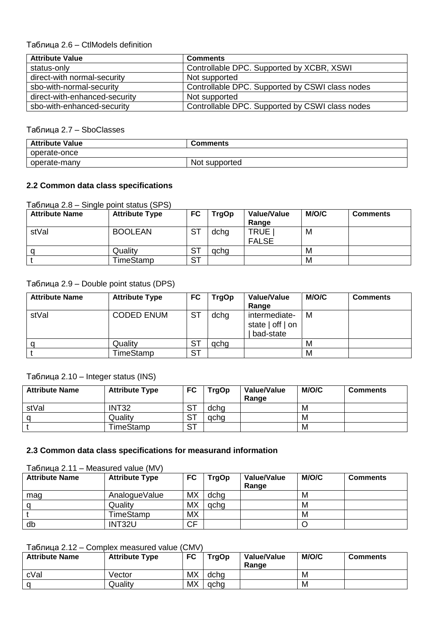## Таблица 2.6 – CtlModels definition

| <b>Attribute Value</b>        | <b>Comments</b>                                 |
|-------------------------------|-------------------------------------------------|
| status-only                   | Controllable DPC. Supported by XCBR, XSWI       |
| direct-with normal-security   | Not supported                                   |
| sbo-with-normal-security      | Controllable DPC. Supported by CSWI class nodes |
| direct-with-enhanced-security | Not supported                                   |
| sbo-with-enhanced-security    | Controllable DPC. Supported by CSWI class nodes |

### Таблица 2.7 – SboClasses

| <b>Attribute Value</b> | <b>Comments</b> |
|------------------------|-----------------|
| operate-once           |                 |
| operate-many           | Not supported   |

### **2.2 Common data class specifications**

### Таблица 2.8 – Single point status (SPS)

| <b>Attribute Name</b> | <b>Attribute Type</b> | <b>FC</b>       | <b>TrgOp</b> | Value/Value<br>Range        | M/O/C | <b>Comments</b> |
|-----------------------|-----------------------|-----------------|--------------|-----------------------------|-------|-----------------|
| stVal                 | <b>BOOLEAN</b>        | <b>ST</b>       | dchg         | <b>TRUE</b><br><b>FALSE</b> | M     |                 |
| α                     | Quality               | $S^{\intercal}$ | acha         |                             | м     |                 |
|                       | TimeStamp             | <b>ST</b>       |              |                             | M     |                 |

## Таблица 2.9 – Double point status (DPS)

| <b>Attribute Name</b> | <b>Attribute Type</b> | FC               | <b>TrgOp</b> | Value/Value<br>Range                               | M/O/C | <b>Comments</b> |
|-----------------------|-----------------------|------------------|--------------|----------------------------------------------------|-------|-----------------|
| stVal                 | <b>CODED ENUM</b>     | $S^{\mathsf{T}}$ | dchg         | intermediate-<br>state $ $ off $ $ on<br>bad-state | м     |                 |
|                       | Quality               | <b>ST</b>        | qchq         |                                                    | М     |                 |
|                       | TimeStamp             | <b>ST</b>        |              |                                                    | м     |                 |

### Таблица 2.10 – Integer status (INS)

| <b>Attribute Name</b> | <b>Attribute Type</b> | FC        | <b>TrgOp</b> | Value/Value<br>Range | M/O/C | <b>Comments</b> |
|-----------------------|-----------------------|-----------|--------------|----------------------|-------|-----------------|
| stVal                 | <b>INT32</b>          | <b>ST</b> | dcha         |                      | M     |                 |
|                       | Quality               | <b>ST</b> | acha         |                      | M     |                 |
|                       | TimeStamp             | <b>ST</b> |              |                      | M     |                 |

### **2.3 Common data class specifications for measurand information**

Таблица 2.11 – Measured value (MV)

| <b>Attribute Name</b> | <b>Attribute Type</b> | FC        | TrgOp | Value/Value<br>Range | M/O/C | <b>Comments</b> |
|-----------------------|-----------------------|-----------|-------|----------------------|-------|-----------------|
| mag                   | AnalogueValue         | <b>MX</b> | dchg  |                      | M     |                 |
|                       | Quality               | <b>MX</b> | qchq  |                      | M     |                 |
|                       | TimeStamp             | <b>MX</b> |       |                      | M     |                 |
| db                    | INT32U                | <b>CF</b> |       |                      |       |                 |

### Таблица 2.12 – Complex measured value (CMV)

| <b>Attribute Name</b> | <b>Attribute Type</b> | FC        | <b>TrgOp</b> | Value/Value<br>Range | M/O/C | <b>Comments</b> |
|-----------------------|-----------------------|-----------|--------------|----------------------|-------|-----------------|
| cVal                  | Vector                | <b>MX</b> | dcha         |                      | M     |                 |
| a                     | Quality               | <b>MX</b> | gcha         |                      | M     |                 |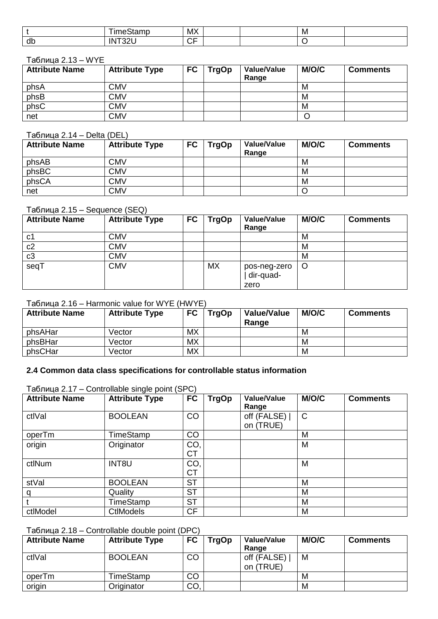|    | $-$<br>.<br>--<br>. н- | MX                 | M |  |
|----|------------------------|--------------------|---|--|
| ar | $\sim$<br>ח ו          | $\sim$ $\sim$<br>◡ |   |  |

#### Таблица 2.13 – WYE

| <b>Attribute Name</b> | <b>Attribute Type</b> | <b>FC</b> | <b>TrgOp</b> | <b>Value/Value</b><br>Range | <b>M/O/C</b> | <b>Comments</b> |
|-----------------------|-----------------------|-----------|--------------|-----------------------------|--------------|-----------------|
| phsA                  | <b>CMV</b>            |           |              |                             | M            |                 |
| phsB                  | CMV                   |           |              |                             | M            |                 |
| phsC                  | <b>CMV</b>            |           |              |                             | M            |                 |
| net                   | <b>CMV</b>            |           |              |                             |              |                 |

### Таблица 2.14 – Delta (DEL)

| <b>Attribute Name</b> | <b>Attribute Type</b> | <b>FC</b> | TrgOp | <b>Value/Value</b><br>Range | <b>M/O/C</b> | <b>Comments</b> |
|-----------------------|-----------------------|-----------|-------|-----------------------------|--------------|-----------------|
| phsAB                 | <b>CMV</b>            |           |       |                             | M            |                 |
| phsBC                 | <b>CMV</b>            |           |       |                             | M            |                 |
| phsCA                 | <b>CMV</b>            |           |       |                             | M            |                 |
| net                   | <b>CMV</b>            |           |       |                             |              |                 |

## Таблица 2.15 – Sequence (SEQ)

| <b>Attribute Name</b> | <b>Attribute Type</b> | <b>FC</b> | <b>TrgOp</b> | Value/Value<br>Range              | M/O/C   | <b>Comments</b> |
|-----------------------|-----------------------|-----------|--------------|-----------------------------------|---------|-----------------|
| c <sub>1</sub>        | <b>CMV</b>            |           |              |                                   | M       |                 |
| c2                    | <b>CMV</b>            |           |              |                                   | M       |                 |
| c3                    | <b>CMV</b>            |           |              |                                   | M       |                 |
| seqT                  | <b>CMV</b>            |           | <b>MX</b>    | pos-neg-zero<br>dir-quad-<br>zero | $\circ$ |                 |

### Таблица 2.16 – Harmonic value for WYE (HWYE)

| <b>Attribute Name</b> | <b>Attribute Type</b> | <b>FC</b> | <b>TrgOp</b> | <b>Value/Value</b><br>Range | <b>M/O/C</b> | <b>Comments</b> |
|-----------------------|-----------------------|-----------|--------------|-----------------------------|--------------|-----------------|
| phsAHar               | Vector                | <b>MX</b> |              |                             | M            |                 |
| phsBHar               | Vector                | <b>MX</b> |              |                             | M            |                 |
| phsCHar               | Vector                | <b>MX</b> |              |                             | M            |                 |

### **2.4 Common data class specifications for controllable status information**

| <b>Attribute Name</b> | <b>Attribute Type</b> | <b>FC</b> | <b>TrgOp</b> | Value/Value<br>Range       | M/O/C        | <b>Comments</b> |
|-----------------------|-----------------------|-----------|--------------|----------------------------|--------------|-----------------|
| ctlVal                | <b>BOOLEAN</b>        | CO        |              | off (FALSE)  <br>on (TRUE) | $\mathsf{C}$ |                 |
| operTm                | TimeStamp             | <b>CO</b> |              |                            | M            |                 |
| origin                | Originator            | CO,<br>CT |              |                            | M            |                 |
| ctlNum                | INT8U                 | CO,<br>CT |              |                            | M            |                 |
| stVal                 | <b>BOOLEAN</b>        | <b>ST</b> |              |                            | M            |                 |
| q                     | Quality               | <b>ST</b> |              |                            | M            |                 |
|                       | TimeStamp             | <b>ST</b> |              |                            | M            |                 |
| ctlModel              | <b>CtlModels</b>      | <b>CF</b> |              |                            | M            |                 |

# Таблица 2.17 – Controllable single point (SPC)

### Таблица 2.18 – Controllable double point (DPC)

| <b>Attribute Name</b> | <b>Attribute Type</b> | <b>FC</b> | <b>TrgOp</b> | <b>Value/Value</b><br>Range | <b>M/O/C</b> | <b>Comments</b> |
|-----------------------|-----------------------|-----------|--------------|-----------------------------|--------------|-----------------|
| ctlVal                | <b>BOOLEAN</b>        | CO        |              | off (FALSE)<br>on (TRUE)    | M            |                 |
| operTm                | TimeStamp             | CO        |              |                             | M            |                 |
| origin                | Originator            | CO        |              |                             | M            |                 |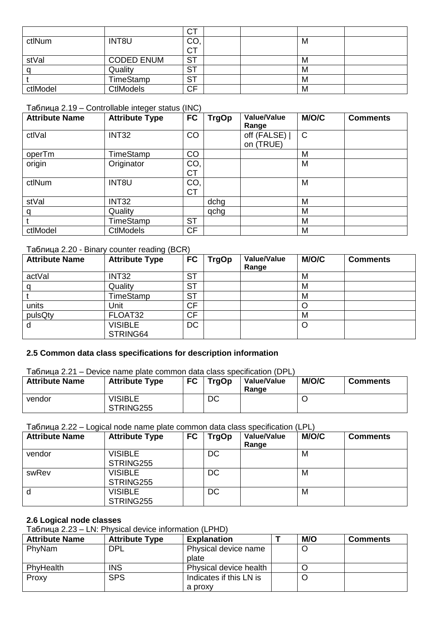|          |                   | ⌒⊤<br>U I       |  |   |  |
|----------|-------------------|-----------------|--|---|--|
| ctlNum   | INT8U             | CO <sub>1</sub> |  | M |  |
|          |                   | <b>CT</b>       |  |   |  |
| stVal    | <b>CODED ENUM</b> | <b>ST</b>       |  | M |  |
|          | Quality           | <b>ST</b>       |  | M |  |
|          | TimeStamp         | <b>ST</b>       |  | M |  |
| ctlModel | <b>CtIModels</b>  | <b>CF</b>       |  | M |  |

### Таблица 2.19 – Controllable integer status (INC)

| <b>Attribute Name</b> | <b>Attribute Type</b> | <b>FC</b>        | <b>TrgOp</b> | <b>Value/Value</b><br>Range | M/O/C        | <b>Comments</b> |
|-----------------------|-----------------------|------------------|--------------|-----------------------------|--------------|-----------------|
| ctlVal                | <b>INT32</b>          | CO               |              | off (FALSE)<br>on (TRUE)    | $\mathsf{C}$ |                 |
| operTm                | TimeStamp             | CO               |              |                             | M            |                 |
| origin                | Originator            | CO,<br><b>CT</b> |              |                             | M            |                 |
| ctlNum                | INT8U                 | CO,<br><b>CT</b> |              |                             | M            |                 |
| stVal                 | <b>INT32</b>          |                  | dchg         |                             | M            |                 |
| α                     | Quality               |                  | qchg         |                             | M            |                 |
|                       | TimeStamp             | <b>ST</b>        |              |                             | M            |                 |
| ctlModel              | <b>CtlModels</b>      | <b>CF</b>        |              |                             | M            |                 |

### Таблица 2.20 - Binary counter reading (BCR)

| <b>Attribute Name</b> | <b>Attribute Type</b>      | <b>FC</b> | <b>TrgOp</b> | <b>Value/Value</b><br>Range | <b>M/O/C</b> | <b>Comments</b> |
|-----------------------|----------------------------|-----------|--------------|-----------------------------|--------------|-----------------|
| actVal                | INT32                      | <b>ST</b> |              |                             | M            |                 |
|                       | Quality                    | <b>ST</b> |              |                             | M            |                 |
|                       | TimeStamp                  | <b>ST</b> |              |                             | M            |                 |
| units                 | Unit                       | <b>CF</b> |              |                             |              |                 |
| pulsQty               | FLOAT32                    | <b>CF</b> |              |                             | M            |                 |
| O                     | <b>VISIBLE</b><br>STRING64 | <b>DC</b> |              |                             |              |                 |

### **2.5 Common data class specifications for description information**

### Таблица 2.21 – Device name plate common data class specification (DPL)

| <b>Attribute Name</b> | <b>Attribute Type</b>       | <b>FC</b> | <b>TrgOp</b> | <b>Value/Value</b><br>Range | M/O/C | <b>Comments</b> |
|-----------------------|-----------------------------|-----------|--------------|-----------------------------|-------|-----------------|
| vendor                | <b>VISIBLE</b><br>STRING255 |           | DC           |                             |       |                 |

Таблица 2.22 – Logical node name plate common data class specification (LPL)

| <b>Attribute Name</b> | <b>Attribute Type</b>       | <b>FC</b> | <b>TrgOp</b> | Value/Value<br>Range | M/O/C | <b>Comments</b> |
|-----------------------|-----------------------------|-----------|--------------|----------------------|-------|-----------------|
| vendor                | <b>VISIBLE</b><br>STRING255 |           | DC           |                      | M     |                 |
| swRev                 | <b>VISIBLE</b><br>STRING255 |           | DC           |                      | М     |                 |
| d                     | <b>VISIBLE</b><br>STRING255 |           | DC           |                      | M     |                 |

### **2.6 Logical node classes**

Таблица 2.23 – LN: Physical device information (LPHD)

| <b>Attribute Name</b> | <b>Attribute Type</b> | <b>Explanation</b>      | M/O | <b>Comments</b> |
|-----------------------|-----------------------|-------------------------|-----|-----------------|
| <b>PhyNam</b>         | <b>DPL</b>            | Physical device name    |     |                 |
|                       |                       | plate                   |     |                 |
| PhyHealth             | <b>INS</b>            | Physical device health  |     |                 |
| Proxy                 | <b>SPS</b>            | Indicates if this LN is |     |                 |
|                       |                       | a proxy                 |     |                 |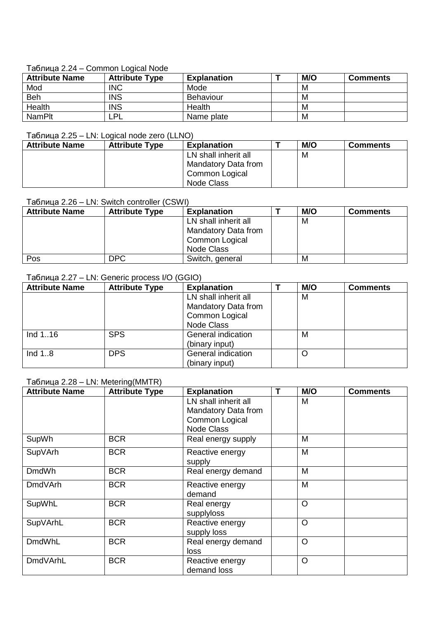### Таблица 2.24 – Common Logical Node

| <b>Attribute Name</b> | <b>Attribute Type</b> | <b>Explanation</b> |  | M/O | <b>Comments</b> |  |  |
|-----------------------|-----------------------|--------------------|--|-----|-----------------|--|--|
| Mod                   | <b>INC</b>            | Mode               |  | M   |                 |  |  |
| <b>Beh</b>            | <b>INS</b>            | <b>Behaviour</b>   |  | M   |                 |  |  |
| Health                | <b>INS</b>            | Health             |  | M   |                 |  |  |
| <b>NamPlt</b>         | PL                    | Name plate         |  | M   |                 |  |  |

### Таблица 2.25 – LN: Logical node zero (LLNO)

| <b>Attribute Name</b> | <b>Attribute Type</b> | <b>Explanation</b>   | M/O | <b>Comments</b> |
|-----------------------|-----------------------|----------------------|-----|-----------------|
|                       |                       | LN shall inherit all | M   |                 |
|                       |                       | Mandatory Data from  |     |                 |
|                       |                       | Common Logical       |     |                 |
|                       |                       | Node Class           |     |                 |

### Таблица 2.26 – LN: Switch controller (CSWI)

| <b>Attribute Name</b> | <b>Attribute Type</b> | <b>Explanation</b>   | M/O | <b>Comments</b> |
|-----------------------|-----------------------|----------------------|-----|-----------------|
|                       |                       | LN shall inherit all | M   |                 |
|                       |                       | Mandatory Data from  |     |                 |
|                       |                       | Common Logical       |     |                 |
|                       |                       | Node Class           |     |                 |
| Pos                   | <b>DPC</b>            | Switch, general      | М   |                 |

### Таблица 2.27 – LN: Generic process I/O (GGIO)

| <b>Attribute Name</b> | <b>Attribute Type</b> | <b>Explanation</b>   | M/O | <b>Comments</b> |
|-----------------------|-----------------------|----------------------|-----|-----------------|
|                       |                       | LN shall inherit all | M   |                 |
|                       |                       | Mandatory Data from  |     |                 |
|                       |                       | Common Logical       |     |                 |
|                       |                       | <b>Node Class</b>    |     |                 |
| Ind 116               | <b>SPS</b>            | General indication   | M   |                 |
|                       |                       | (binary input)       |     |                 |
| Ind $1.8$             | <b>DPS</b>            | General indication   |     |                 |
|                       |                       | (binary input)       |     |                 |

### Таблица 2.28 – LN: Metering(MMTR)

| <b>Attribute Name</b> | <b>Attribute Type</b> | <b>Explanation</b>   | Т | M/O     | <b>Comments</b> |
|-----------------------|-----------------------|----------------------|---|---------|-----------------|
|                       |                       | LN shall inherit all |   | M       |                 |
|                       |                       | Mandatory Data from  |   |         |                 |
|                       |                       | Common Logical       |   |         |                 |
|                       |                       | Node Class           |   |         |                 |
| SupWh                 | <b>BCR</b>            | Real energy supply   |   | M       |                 |
| SupVArh               | <b>BCR</b>            | Reactive energy      |   | M       |                 |
|                       |                       | supply               |   |         |                 |
| <b>DmdWh</b>          | <b>BCR</b>            | Real energy demand   |   | M       |                 |
| <b>DmdVArh</b>        | <b>BCR</b>            | Reactive energy      |   | M       |                 |
|                       |                       | demand               |   |         |                 |
| SupWhL                | <b>BCR</b>            | Real energy          |   | $\circ$ |                 |
|                       |                       | supplyloss           |   |         |                 |
| SupVArhL              | <b>BCR</b>            | Reactive energy      |   | $\circ$ |                 |
|                       |                       | supply loss          |   |         |                 |
| <b>DmdWhL</b>         | <b>BCR</b>            | Real energy demand   |   | $\circ$ |                 |
|                       |                       | loss                 |   |         |                 |
| <b>DmdVArhL</b>       | <b>BCR</b>            | Reactive energy      |   | $\circ$ |                 |
|                       |                       | demand loss          |   |         |                 |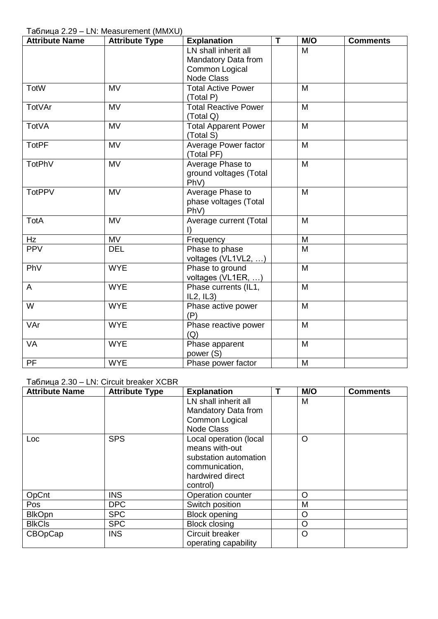Таблица 2.29 – LN: Measurement (MMXU)

| <b>Attribute Name</b> | <b>Attribute Type</b>  | <b>Explanation</b>          | T | M/O            | <b>Comments</b> |
|-----------------------|------------------------|-----------------------------|---|----------------|-----------------|
|                       |                        | LN shall inherit all        |   | M              |                 |
|                       |                        | Mandatory Data from         |   |                |                 |
|                       |                        | Common Logical              |   |                |                 |
|                       |                        | Node Class                  |   |                |                 |
| <b>TotW</b>           | <b>MV</b>              | <b>Total Active Power</b>   |   | M              |                 |
|                       |                        | (Total P)                   |   |                |                 |
| TotVAr                | <b>MV</b>              | <b>Total Reactive Power</b> |   | M              |                 |
|                       |                        | (Total Q)                   |   |                |                 |
| <b>TotVA</b>          | $\overline{\text{MV}}$ | <b>Total Apparent Power</b> |   | $\overline{M}$ |                 |
|                       |                        | (Total S)                   |   |                |                 |
| <b>TotPF</b>          | <b>MV</b>              | Average Power factor        |   | M              |                 |
|                       |                        | (Total PF)                  |   |                |                 |
| <b>TotPhV</b>         | <b>MV</b>              | Average Phase to            |   | M              |                 |
|                       |                        | ground voltages (Total      |   |                |                 |
|                       |                        | PhV)                        |   |                |                 |
| <b>TotPPV</b>         | <b>MV</b>              | Average Phase to            |   | M              |                 |
|                       |                        | phase voltages (Total       |   |                |                 |
|                       |                        | PhV)                        |   |                |                 |
| <b>TotA</b>           | <b>MV</b>              | Average current (Total      |   | M              |                 |
|                       |                        | $\vert$                     |   |                |                 |
| Hz                    | <b>MV</b>              | Frequency                   |   | M              |                 |
| <b>PPV</b>            | <b>DEL</b>             | Phase to phase              |   | M              |                 |
|                       |                        | voltages (VL1VL2, )         |   |                |                 |
| PhV                   | <b>WYE</b>             | Phase to ground             |   | M              |                 |
|                       |                        | voltages (VL1ER, )          |   |                |                 |
| A                     | <b>WYE</b>             | Phase currents (IL1,        |   | M              |                 |
|                       |                        | IL2, IL3)                   |   |                |                 |
| $\overline{W}$        | <b>WYE</b>             | Phase active power          |   | M              |                 |
|                       |                        | (P)                         |   |                |                 |
| VAr                   | <b>WYE</b>             | Phase reactive power        |   | M              |                 |
|                       |                        | (Q)                         |   |                |                 |
| VA                    | <b>WYE</b>             | Phase apparent              |   | M              |                 |
|                       |                        | power (S)                   |   |                |                 |
| PF                    | <b>WYE</b>             | Phase power factor          |   | M              |                 |

### Таблица 2.30 – LN: Circuit breaker XCBR

| <b>Attribute Name</b> | <b>Attribute Type</b> | <b>Explanation</b>     | M/O     | <b>Comments</b> |
|-----------------------|-----------------------|------------------------|---------|-----------------|
|                       |                       | LN shall inherit all   | M       |                 |
|                       |                       | Mandatory Data from    |         |                 |
|                       |                       | Common Logical         |         |                 |
|                       |                       | <b>Node Class</b>      |         |                 |
| <b>Loc</b>            | <b>SPS</b>            | Local operation (local | O       |                 |
|                       |                       | means with-out         |         |                 |
|                       |                       | substation automation  |         |                 |
|                       |                       | communication,         |         |                 |
|                       |                       | hardwired direct       |         |                 |
|                       |                       | control)               |         |                 |
| OpCnt                 | <b>INS</b>            | Operation counter      | $\circ$ |                 |
| Pos                   | <b>DPC</b>            | Switch position        | M       |                 |
| <b>BlkOpn</b>         | <b>SPC</b>            | <b>Block opening</b>   | O       |                 |
| <b>BIkCIs</b>         | <b>SPC</b>            | <b>Block closing</b>   | O       |                 |
| <b>CBOpCap</b>        | <b>INS</b>            | Circuit breaker        | $\circ$ |                 |
|                       |                       | operating capability   |         |                 |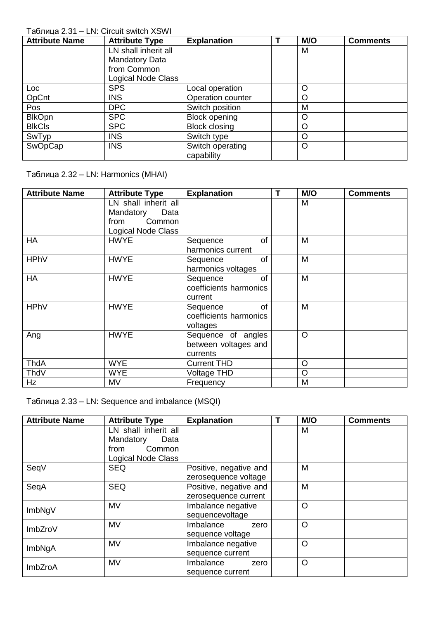## Таблица 2.31 – LN: Circuit switch XSWI

| <b>Attribute Name</b> | <b>Attribute Type</b> | <b>Explanation</b>   | M/O     | <b>Comments</b> |
|-----------------------|-----------------------|----------------------|---------|-----------------|
|                       | LN shall inherit all  |                      | M       |                 |
|                       | <b>Mandatory Data</b> |                      |         |                 |
|                       | from Common           |                      |         |                 |
|                       | Logical Node Class    |                      |         |                 |
| Loc                   | <b>SPS</b>            | Local operation      | O       |                 |
| OpCnt                 | <b>INS</b>            | Operation counter    | O       |                 |
| Pos                   | <b>DPC</b>            | Switch position      | M       |                 |
| <b>BlkOpn</b>         | <b>SPC</b>            | <b>Block opening</b> | O       |                 |
| <b>BIkCIs</b>         | <b>SPC</b>            | <b>Block closing</b> | O       |                 |
| SwTyp                 | <b>INS</b>            | Switch type          | $\circ$ |                 |
| SwOpCap               | <b>INS</b>            | Switch operating     | $\circ$ |                 |
|                       |                       | capability           |         |                 |

Таблица 2.32 – LN: Harmonics (MHAI)

| <b>Attribute Name</b> | <b>Attribute Type</b> | <b>Explanation</b>     | T | M/O     | <b>Comments</b> |
|-----------------------|-----------------------|------------------------|---|---------|-----------------|
|                       | LN shall inherit all  |                        |   | M       |                 |
|                       | Mandatory<br>Data     |                        |   |         |                 |
|                       | Common<br>from        |                        |   |         |                 |
|                       | Logical Node Class    |                        |   |         |                 |
| HA                    | <b>HWYE</b>           | of<br>Sequence         |   | M       |                 |
|                       |                       | harmonics current      |   |         |                 |
| <b>HPhV</b>           | <b>HWYE</b>           | <b>of</b><br>Sequence  |   | M       |                 |
|                       |                       | harmonics voltages     |   |         |                 |
| <b>HA</b>             | <b>HWYE</b>           | Sequence<br>0f         |   | M       |                 |
|                       |                       | coefficients harmonics |   |         |                 |
|                       |                       | current                |   |         |                 |
| <b>HPhV</b>           | <b>HWYE</b>           | <b>of</b><br>Sequence  |   | M       |                 |
|                       |                       | coefficients harmonics |   |         |                 |
|                       |                       | voltages               |   |         |                 |
| Ang                   | <b>HWYE</b>           | Sequence of angles     |   | O       |                 |
|                       |                       | between voltages and   |   |         |                 |
|                       |                       | currents               |   |         |                 |
| <b>ThdA</b>           | <b>WYE</b>            | <b>Current THD</b>     |   | $\circ$ |                 |
| ThdV                  | <b>WYE</b>            | Voltage THD            |   | $\circ$ |                 |
| Hz                    | MV                    | Frequency              |   | M       |                 |

Таблица 2.33 – LN: Sequence and imbalance (MSQI)

| <b>Attribute Name</b> | <b>Attribute Type</b> | <b>Explanation</b>     | T | M/O     | <b>Comments</b> |
|-----------------------|-----------------------|------------------------|---|---------|-----------------|
|                       | LN shall inherit all  |                        |   | M       |                 |
|                       | Mandatory<br>Data     |                        |   |         |                 |
|                       | from<br>Common        |                        |   |         |                 |
|                       | Logical Node Class    |                        |   |         |                 |
| SeqV                  | <b>SEQ</b>            | Positive, negative and |   | M       |                 |
|                       |                       | zerosequence voltage   |   |         |                 |
| SeqA                  | <b>SEQ</b>            | Positive, negative and |   | M       |                 |
|                       |                       | zerosequence current   |   |         |                 |
| ImbNgV                | <b>MV</b>             | Imbalance negative     |   | $\circ$ |                 |
|                       |                       | sequencevoltage        |   |         |                 |
| <b>ImbZroV</b>        | <b>MV</b>             | Imbalance<br>zero      |   | $\circ$ |                 |
|                       |                       | sequence voltage       |   |         |                 |
| ImbNgA                | <b>MV</b>             | Imbalance negative     |   | $\circ$ |                 |
|                       |                       | sequence current       |   |         |                 |
| <b>ImbZroA</b>        | <b>MV</b>             | Imbalance<br>zero      |   | $\circ$ |                 |
|                       |                       | sequence current       |   |         |                 |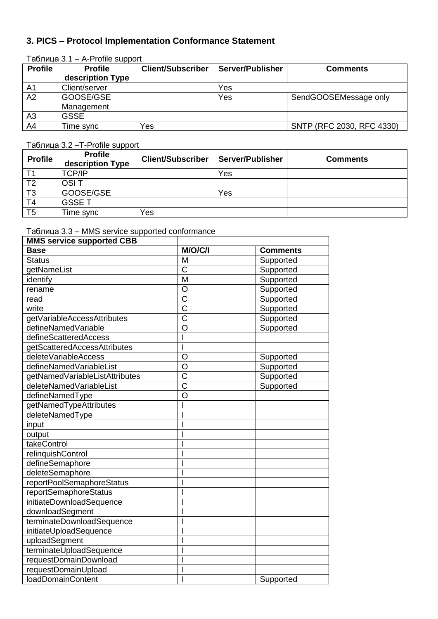# **3. PICS – Protocol Implementation Conformance Statement**

## Таблица 3.1 – A-Profile support

| <b>Profile</b> | <b>Profile</b>   | <b>Client/Subscriber</b> | <b>Server/Publisher</b> | <b>Comments</b>           |
|----------------|------------------|--------------------------|-------------------------|---------------------------|
|                | description Type |                          |                         |                           |
| A <sub>1</sub> | Client/server    |                          | Yes                     |                           |
| A2             | GOOSE/GSE        |                          | Yes                     | SendGOOSEMessage only     |
|                | Management       |                          |                         |                           |
| A <sub>3</sub> | <b>GSSE</b>      |                          |                         |                           |
| A4             | Fime sync        | Yes                      |                         | SNTP (RFC 2030, RFC 4330) |

Таблица 3.2 –T-Profile support

| <b>Profile</b> | <b>Profile</b><br>description Type | <b>Client/Subscriber</b> | Server/Publisher | <b>Comments</b> |
|----------------|------------------------------------|--------------------------|------------------|-----------------|
|                | <b>TCP/IP</b>                      |                          | Yes              |                 |
| T <sub>2</sub> | <b>OSIT</b>                        |                          |                  |                 |
| T <sub>3</sub> | GOOSE/GSE                          |                          | Yes              |                 |
| T <sub>4</sub> | <b>GSSET</b>                       |                          |                  |                 |
| T <sub>5</sub> | Time sync                          | Yes                      |                  |                 |

Таблица 3.3 – MMS service supported conformance

| <b>MMS service supported CBB</b> |                         |                 |
|----------------------------------|-------------------------|-----------------|
| <b>Base</b>                      | M/O/C/I                 | <b>Comments</b> |
| <b>Status</b>                    | M                       | Supported       |
| getNameList                      | $\overline{\text{C}}$   | Supported       |
| identify                         | $\overline{\mathsf{M}}$ | Supported       |
| rename                           | O                       | Supported       |
| read                             | $\overline{\text{C}}$   | Supported       |
| write                            | $\overline{\text{C}}$   | Supported       |
| getVariableAccessAttributes      | $\overline{\text{C}}$   | Supported       |
| defineNamedVariable              | O                       | Supported       |
| defineScatteredAccess            |                         |                 |
| getScatteredAccessAttributes     |                         |                 |
| deleteVariableAccess             | $\overline{O}$          | Supported       |
| defineNamedVariableList          | O                       | Supported       |
| getNamedVariableListAttributes   | $\overline{\text{C}}$   | Supported       |
| deleteNamedVariableList          | $\overline{\text{c}}$   | Supported       |
| defineNamedType                  | $\overline{O}$          |                 |
| getNamedTypeAttributes           |                         |                 |
| deleteNamedType                  |                         |                 |
| input                            |                         |                 |
| output                           |                         |                 |
| takeControl                      |                         |                 |
| relinquishControl                |                         |                 |
| defineSemaphore                  |                         |                 |
| deleteSemaphore                  |                         |                 |
| reportPoolSemaphoreStatus        |                         |                 |
| reportSemaphoreStatus            |                         |                 |
| initiateDownloadSequence         |                         |                 |
| downloadSegment                  |                         |                 |
| terminateDownloadSequence        |                         |                 |
| initiateUploadSequence           |                         |                 |
| uploadSegment                    |                         |                 |
| terminateUploadSequence          |                         |                 |
| requestDomainDownload            |                         |                 |
| requestDomainUpload              |                         |                 |
| loadDomainContent                |                         | Supported       |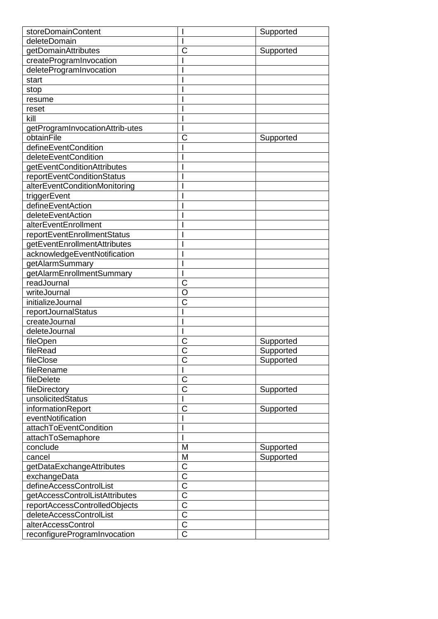| storeDomainContent                                       |                            | Supported |
|----------------------------------------------------------|----------------------------|-----------|
| deleteDomain                                             |                            |           |
| getDomainAttributes                                      | С                          | Supported |
| createProgramInvocation                                  |                            |           |
| deleteProgramInvocation                                  |                            |           |
| start                                                    |                            |           |
| stop                                                     |                            |           |
| resume                                                   |                            |           |
| reset                                                    |                            |           |
| kill                                                     |                            |           |
| getProgramInvocationAttrib-utes                          |                            |           |
| obtainFile                                               | C                          | Supported |
| defineEventCondition                                     |                            |           |
| deleteEventCondition                                     |                            |           |
| getEventConditionAttributes                              |                            |           |
| reportEventConditionStatus                               |                            |           |
| alterEventConditionMonitoring                            |                            |           |
| triggerEvent                                             |                            |           |
| defineEventAction                                        |                            |           |
| deleteEventAction                                        |                            |           |
| alterEventEnrollment                                     |                            |           |
| reportEventEnrollmentStatus                              |                            |           |
| getEventEnrollmentAttributes                             |                            |           |
| acknowledgeEventNotification                             |                            |           |
| getAlarmSummary                                          |                            |           |
| getAlarmEnrollmentSummary                                |                            |           |
| readJournal                                              | С                          |           |
| writeJournal                                             | O                          |           |
| initializeJournal                                        | С                          |           |
| reportJournalStatus                                      |                            |           |
| createJournal                                            |                            |           |
| deleteJournal                                            |                            |           |
| fileOpen                                                 | С                          | Supported |
| fileRead                                                 | $\overline{\text{c}}$      | Supported |
| fileClose                                                | С                          | Supported |
| fileRename                                               |                            |           |
| fileDelete                                               | C                          |           |
| fileDirectory                                            | C                          | Supported |
| unsolicitedStatus                                        |                            |           |
| informationReport                                        | С                          | Supported |
| eventNotification                                        |                            |           |
| attachToEventCondition                                   |                            |           |
| attachToSemaphore                                        |                            |           |
| conclude                                                 | M                          | Supported |
| cancel                                                   | M                          | Supported |
|                                                          | C                          |           |
| getDataExchangeAttributes<br>exchangeData                | $\overline{\text{C}}$      |           |
| defineAccessControlList                                  | $\overline{\mathsf{C}}$    |           |
|                                                          |                            |           |
| getAccessControlListAttributes                           | C<br>$\overline{\text{C}}$ |           |
| reportAccessControlledObjects<br>deleteAccessControlList | $\overline{\text{C}}$      |           |
|                                                          | $\overline{\text{C}}$      |           |
| alterAccessControl                                       | C                          |           |
| reconfigureProgramInvocation                             |                            |           |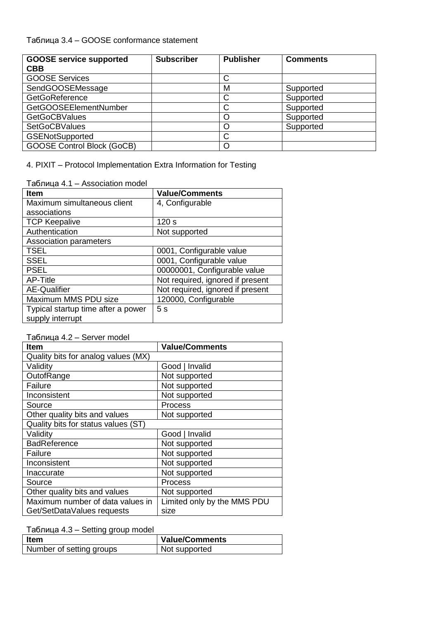## Таблица 3.4 – GOOSE conformance statement

| <b>GOOSE service supported</b>    | <b>Subscriber</b> | <b>Publisher</b> | <b>Comments</b> |
|-----------------------------------|-------------------|------------------|-----------------|
| <b>CBB</b>                        |                   |                  |                 |
| <b>GOOSE Services</b>             |                   |                  |                 |
| SendGOOSEMessage                  |                   | М                | Supported       |
| GetGoReference                    |                   |                  | Supported       |
| <b>GetGOOSEElementNumber</b>      |                   |                  | Supported       |
| <b>GetGoCBValues</b>              |                   |                  | Supported       |
| <b>SetGoCBValues</b>              |                   |                  | Supported       |
| <b>GSENotSupported</b>            |                   |                  |                 |
| <b>GOOSE Control Block (GoCB)</b> |                   |                  |                 |

4. PIXIT – Protocol Implementation Extra Information for Testing

Таблица 4.1 – Association model

| <b>Item</b>                        | <b>Value/Comments</b>            |
|------------------------------------|----------------------------------|
| Maximum simultaneous client        | 4, Configurable                  |
| associations                       |                                  |
| <b>TCP Keepalive</b>               | 120 <sub>s</sub>                 |
| Authentication                     | Not supported                    |
| Association parameters             |                                  |
| <b>TSEL</b>                        | 0001, Configurable value         |
| <b>SSEL</b>                        | 0001, Configurable value         |
| <b>PSEL</b>                        | 00000001, Configurable value     |
| AP-Title                           | Not required, ignored if present |
| <b>AE-Qualifier</b>                | Not required, ignored if present |
| Maximum MMS PDU size               | 120000, Configurable             |
| Typical startup time after a power | 5s                               |
| supply interrupt                   |                                  |

### Таблица 4.2 – Server model

| <b>Item</b>                         | <b>Value/Comments</b>       |
|-------------------------------------|-----------------------------|
| Quality bits for analog values (MX) |                             |
| Validity                            | Good   Invalid              |
| OutofRange                          | Not supported               |
| Failure                             | Not supported               |
| Inconsistent                        | Not supported               |
| Source                              | Process                     |
| Other quality bits and values       | Not supported               |
| Quality bits for status values (ST) |                             |
| Validity                            | Good   Invalid              |
| <b>BadReference</b>                 | Not supported               |
| Failure                             | Not supported               |
| Inconsistent                        | Not supported               |
| Inaccurate                          | Not supported               |
| Source                              | Process                     |
| Other quality bits and values       | Not supported               |
| Maximum number of data values in    | Limited only by the MMS PDU |
| Get/SetDataValues requests          | size                        |

Таблица 4.3 – Setting group model

| Item                     | <b>Value/Comments</b> |
|--------------------------|-----------------------|
| Number of setting groups | Not supported         |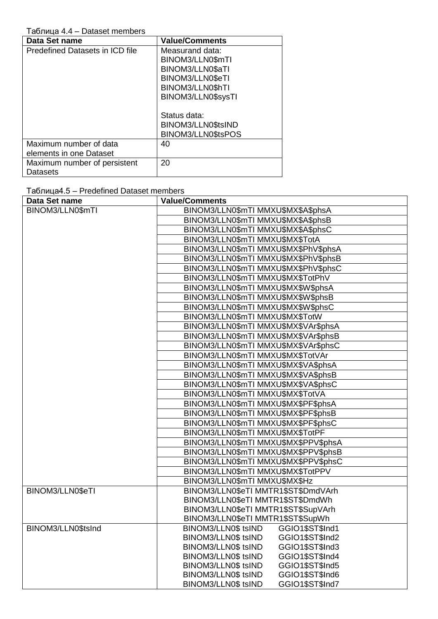### Таблица 4.4 - Dataset members

| Data Set name                   | <b>Value/Comments</b> |
|---------------------------------|-----------------------|
| Predefined Datasets in ICD file | Measurand data:       |
|                                 | BINOM3/LLN0\$mTI      |
|                                 | BINOM3/LLN0\$aTI      |
|                                 | BINOM3/LLN0\$eTI      |
|                                 | BINOM3/LLN0\$hTI      |
|                                 | BINOM3/LLN0\$sysTI    |
|                                 |                       |
|                                 | Status data:          |
|                                 | BINOM3/LLN0\$tsIND    |
|                                 | BINOM3/LLN0\$tsPOS    |
| Maximum number of data          | 40                    |
| elements in one Dataset         |                       |
| Maximum number of persistent    | 20                    |
| Datasets                        |                       |

## Таблица4.5 - Predefined Dataset members

| Data Set name      | <b>Value/Comments</b>                                                            |
|--------------------|----------------------------------------------------------------------------------|
| BINOM3/LLN0\$mTI   | BINOM3/LLN0\$mTI MMXU\$MX\$A\$phsA                                               |
|                    | BINOM3/LLN0\$mTI MMXU\$MX\$A\$phsB                                               |
|                    | BINOM3/LLN0\$mTI MMXU\$MX\$A\$phsC                                               |
|                    | BINOM3/LLN0\$mTI MMXU\$MX\$TotA                                                  |
|                    | BINOM3/LLN0\$mTI MMXU\$MX\$PhV\$phsA                                             |
|                    | BINOM3/LLN0\$mTI MMXU\$MX\$PhV\$phsB                                             |
|                    | BINOM3/LLN0\$mTI MMXU\$MX\$PhV\$phsC                                             |
|                    | BINOM3/LLN0\$mTI MMXU\$MX\$TotPhV                                                |
|                    | BINOM3/LLN0\$mTI MMXU\$MX\$W\$phsA                                               |
|                    | BINOM3/LLN0\$mTI MMXU\$MX\$W\$phsB                                               |
|                    | BINOM3/LLN0\$mTI MMXU\$MX\$W\$phsC                                               |
|                    | BINOM3/LLN0\$mTI MMXU\$MX\$TotW                                                  |
|                    | BINOM3/LLN0\$mTI MMXU\$MX\$VAr\$phsA                                             |
|                    | BINOM3/LLN0\$mTI MMXU\$MX\$VAr\$phsB                                             |
|                    | BINOM3/LLN0\$mTI MMXU\$MX\$VAr\$phsC                                             |
|                    | BINOM3/LLN0\$mTI MMXU\$MX\$TotVAr                                                |
|                    | BINOM3/LLN0\$mTI MMXU\$MX\$VA\$phsA                                              |
|                    | BINOM3/LLN0\$mTI MMXU\$MX\$VA\$phsB                                              |
|                    | BINOM3/LLN0\$mTI MMXU\$MX\$VA\$phsC                                              |
|                    | BINOM3/LLN0\$mTI MMXU\$MX\$TotVA                                                 |
|                    | BINOM3/LLN0\$mTI MMXU\$MX\$PF\$phsA                                              |
|                    | BINOM3/LLN0\$mTI MMXU\$MX\$PF\$phsB                                              |
|                    | BINOM3/LLN0\$mTI MMXU\$MX\$PF\$phsC                                              |
|                    | BINOM3/LLN0\$mTI MMXU\$MX\$TotPF                                                 |
|                    | BINOM3/LLN0\$mTI MMXU\$MX\$PPV\$phsA                                             |
|                    | BINOM3/LLN0\$mTI MMXU\$MX\$PPV\$phsB                                             |
|                    | BINOM3/LLN0\$mTI MMXU\$MX\$PPV\$phsC                                             |
|                    | BINOM3/LLN0\$mTI MMXU\$MX\$TotPPV                                                |
|                    | BINOM3/LLN0\$mTI MMXU\$MX\$Hz                                                    |
| BINOM3/LLN0\$eTI   | BINOM3/LLN0\$eTI MMTR1\$ST\$DmdVArh                                              |
|                    | BINOM3/LLN0\$eTI MMTR1\$ST\$DmdWh                                                |
|                    | BINOM3/LLN0\$eTI MMTR1\$ST\$SupVArh                                              |
|                    | BINOM3/LLN0\$eTI MMTR1\$ST\$SupWh                                                |
| BINOM3/LLN0\$tsInd | BINOM3/LLN0\$ tsIND<br>GGIO1\$ST\$Ind1                                           |
|                    | BINOM3/LLN0\$ tsIND<br>GGIO1\$ST\$Ind2                                           |
|                    | BINOM3/LLN0\$ tsIND<br>GGIO1\$ST\$Ind3                                           |
|                    | BINOM3/LLN0\$ tsIND<br>GGIO1\$ST\$Ind4                                           |
|                    | BINOM3/LLN0\$ tsIND<br>GGIO1\$ST\$Ind5<br>GGIO1\$ST\$Ind6<br>BINOM3/LLN0\$ tsIND |
|                    | GGIO1\$ST\$Ind7<br>BINOM3/LLN0\$ tsIND                                           |
|                    |                                                                                  |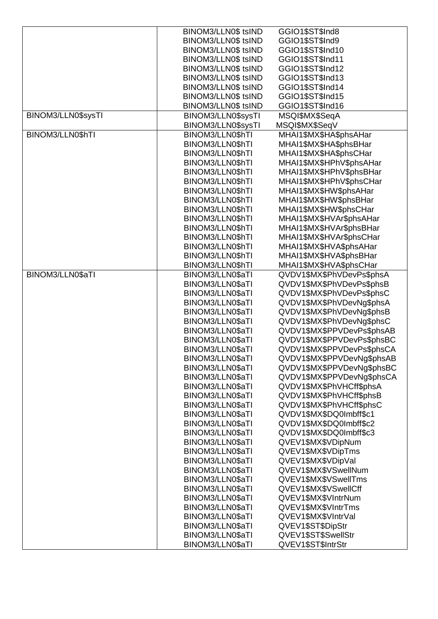|                    | BINOM3/LLN0\$ tsIND | GGIO1\$ST\$Ind8            |
|--------------------|---------------------|----------------------------|
|                    | BINOM3/LLN0\$ tsIND | GGIO1\$ST\$Ind9            |
|                    | BINOM3/LLN0\$ tsIND | GGIO1\$ST\$Ind10           |
|                    | BINOM3/LLN0\$ tsIND | GGIO1\$ST\$Ind11           |
|                    | BINOM3/LLN0\$ tsIND | GGIO1\$ST\$Ind12           |
|                    | BINOM3/LLN0\$ tsIND | GGIO1\$ST\$Ind13           |
|                    | BINOM3/LLN0\$ tsIND | GGIO1\$ST\$Ind14           |
|                    | BINOM3/LLN0\$ tsIND | GGIO1\$ST\$Ind15           |
|                    | BINOM3/LLN0\$ tsIND | GGIO1\$ST\$Ind16           |
| BINOM3/LLN0\$sysTI | BINOM3/LLN0\$sysTI  | MSQI\$MX\$SeqA             |
|                    | BINOM3/LLN0\$sysTI  | MSQI\$MX\$SeqV             |
| BINOM3/LLN0\$hTI   | BINOM3/LLN0\$hTI    | MHAI1\$MX\$HA\$phsAHar     |
|                    | BINOM3/LLN0\$hTI    | MHAI1\$MX\$HA\$phsBHar     |
|                    | BINOM3/LLN0\$hTI    | MHAI1\$MX\$HA\$phsCHar     |
|                    | BINOM3/LLN0\$hTI    | MHAI1\$MX\$HPhV\$phsAHar   |
|                    | BINOM3/LLN0\$hTI    | MHAI1\$MX\$HPhV\$phsBHar   |
|                    | BINOM3/LLN0\$hTI    | MHAI1\$MX\$HPhV\$phsCHar   |
|                    | BINOM3/LLN0\$hTI    | MHAI1\$MX\$HW\$phsAHar     |
|                    | BINOM3/LLN0\$hTI    | MHAI1\$MX\$HW\$phsBHar     |
|                    | BINOM3/LLN0\$hTI    | MHAI1\$MX\$HW\$phsCHar     |
|                    |                     | MHAI1\$MX\$HVAr\$phsAHar   |
|                    | BINOM3/LLN0\$hTI    |                            |
|                    | BINOM3/LLN0\$hTI    | MHAI1\$MX\$HVAr\$phsBHar   |
|                    | BINOM3/LLN0\$hTI    | MHAI1\$MX\$HVAr\$phsCHar   |
|                    | BINOM3/LLN0\$hTI    | MHAI1\$MX\$HVA\$phsAHar    |
|                    | BINOM3/LLN0\$hTI    | MHAI1\$MX\$HVA\$phsBHar    |
|                    | BINOM3/LLN0\$hTI    | MHAI1\$MX\$HVA\$phsCHar    |
| BINOM3/LLN0\$aTI   | BINOM3/LLN0\$aTI    | QVDV1\$MX\$PhVDevPs\$phsA  |
|                    | BINOM3/LLN0\$aTI    | QVDV1\$MX\$PhVDevPs\$phsB  |
|                    | BINOM3/LLN0\$aTI    | QVDV1\$MX\$PhVDevPs\$phsC  |
|                    | BINOM3/LLN0\$aTI    | QVDV1\$MX\$PhVDevNg\$phsA  |
|                    | BINOM3/LLN0\$aTI    | QVDV1\$MX\$PhVDevNg\$phsB  |
|                    | BINOM3/LLN0\$aTI    | QVDV1\$MX\$PhVDevNg\$phsC  |
|                    | BINOM3/LLN0\$aTI    | QVDV1\$MX\$PPVDevPs\$phsAB |
|                    | BINOM3/LLN0\$aTI    | QVDV1\$MX\$PPVDevPs\$phsBC |
|                    | BINOM3/LLN0\$aTI    | QVDV1\$MX\$PPVDevPs\$phsCA |
|                    | BINOM3/LLN0\$aTI    | QVDV1\$MX\$PPVDevNg\$phsAB |
|                    | BINOM3/LLN0\$aTI    | QVDV1\$MX\$PPVDevNg\$phsBC |
|                    | BINOM3/LLN0\$aTI    | QVDV1\$MX\$PPVDevNg\$phsCA |
|                    | BINOM3/LLN0\$aTI    | QVDV1\$MX\$PhVHCff\$phsA   |
|                    | BINOM3/LLN0\$aTI    | QVDV1\$MX\$PhVHCff\$phsB   |
|                    | BINOM3/LLN0\$aTI    | QVDV1\$MX\$PhVHCff\$phsC   |
|                    | BINOM3/LLN0\$aTI    | QVDV1\$MX\$DQ0Imbff\$c1    |
|                    | BINOM3/LLN0\$aTI    | QVDV1\$MX\$DQ0Imbff\$c2    |
|                    | BINOM3/LLN0\$aTI    | QVDV1\$MX\$DQ0Imbff\$c3    |
|                    | BINOM3/LLN0\$aTI    | QVEV1\$MX\$VDipNum         |
|                    | BINOM3/LLN0\$aTI    | QVEV1\$MX\$VDipTms         |
|                    | BINOM3/LLN0\$aTI    | QVEV1\$MX\$VDipVal         |
|                    | BINOM3/LLN0\$aTI    | QVEV1\$MX\$VSwellNum       |
|                    | BINOM3/LLN0\$aTI    | QVEV1\$MX\$VSwellTms       |
|                    | BINOM3/LLN0\$aTI    | QVEV1\$MX\$VSwellCff       |
|                    | BINOM3/LLN0\$aTI    | QVEV1\$MX\$VIntrNum        |
|                    | BINOM3/LLN0\$aTI    | QVEV1\$MX\$VIntrTms        |
|                    | BINOM3/LLN0\$aTI    | QVEV1\$MX\$VIntrVal        |
|                    | BINOM3/LLN0\$aTI    | QVEV1\$ST\$DipStr          |
|                    | BINOM3/LLN0\$aTI    | QVEV1\$ST\$SwellStr        |
|                    | BINOM3/LLN0\$aTI    | QVEV1\$ST\$IntrStr         |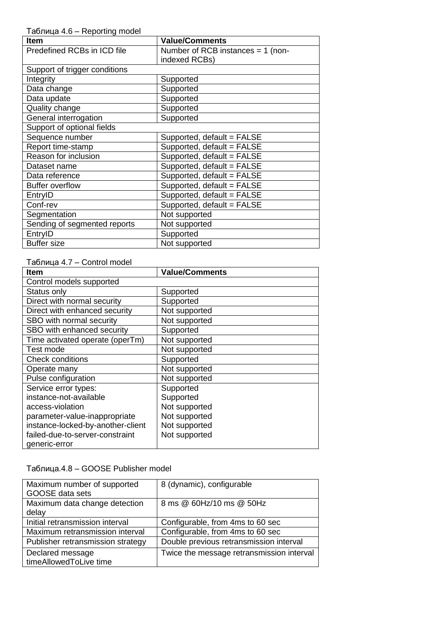Таблица 4.6 – Reporting model

| <b>Item</b>                   | <b>Value/Comments</b>               |
|-------------------------------|-------------------------------------|
| Predefined RCBs in ICD file   | Number of RCB instances $= 1$ (non- |
|                               | indexed RCBs)                       |
| Support of trigger conditions |                                     |
| Integrity                     | Supported                           |
| Data change                   | Supported                           |
| Data update                   | Supported                           |
| Quality change                | Supported                           |
| General interrogation         | Supported                           |
| Support of optional fields    |                                     |
| Sequence number               | Supported, default = FALSE          |
| Report time-stamp             | Supported, default = FALSE          |
| Reason for inclusion          | Supported, default = FALSE          |
| Dataset name                  | Supported, default = FALSE          |
| Data reference                | Supported, default = FALSE          |
| <b>Buffer overflow</b>        | Supported, default = FALSE          |
| EntryID                       | Supported, default = FALSE          |
| Conf-rev                      | Supported, default = FALSE          |
| Segmentation                  | Not supported                       |
| Sending of segmented reports  | Not supported                       |
| EntryID                       | Supported                           |
| <b>Buffer size</b>            | Not supported                       |

## Таблица 4.7 – Control model

| <b>Item</b>                       | <b>Value/Comments</b> |
|-----------------------------------|-----------------------|
| Control models supported          |                       |
| Status only                       | Supported             |
| Direct with normal security       | Supported             |
| Direct with enhanced security     | Not supported         |
| SBO with normal security          | Not supported         |
| SBO with enhanced security        | Supported             |
| Time activated operate (operTm)   | Not supported         |
| Test mode                         | Not supported         |
| <b>Check conditions</b>           | Supported             |
| Operate many                      | Not supported         |
| Pulse configuration               | Not supported         |
| Service error types:              | Supported             |
| instance-not-available            | Supported             |
| access-violation                  | Not supported         |
| parameter-value-inappropriate     | Not supported         |
| instance-locked-by-another-client | Not supported         |
| failed-due-to-server-constraint   | Not supported         |
| generic-error                     |                       |

# Таблица.4.8 – GOOSE Publisher model

| Maximum number of supported<br><b>GOOSE</b> data sets | 8 (dynamic), configurable                 |
|-------------------------------------------------------|-------------------------------------------|
| Maximum data change detection<br>delay                | 8 ms @ 60Hz/10 ms @ 50Hz                  |
| Initial retransmission interval                       | Configurable, from 4ms to 60 sec          |
| Maximum retransmission interval                       | Configurable, from 4ms to 60 sec          |
| Publisher retransmission strategy                     | Double previous retransmission interval   |
| Declared message<br>timeAllowedToLive time            | Twice the message retransmission interval |